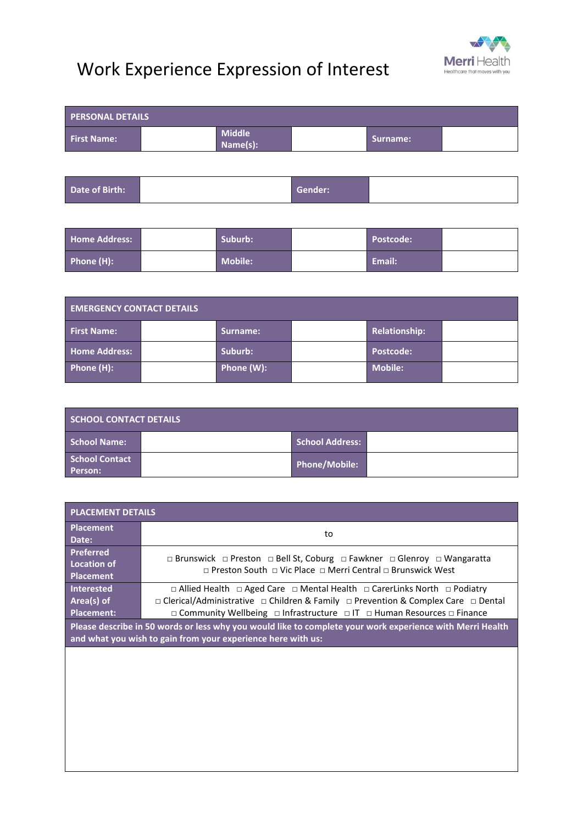## Work Experience Expression of Interest



| <b>PERSONAL DETAILS</b> |  |                           |  |          |  |
|-------------------------|--|---------------------------|--|----------|--|
| <b>First Name:</b>      |  | <b>Middle</b><br>Name(s): |  | Surname: |  |
|                         |  |                           |  |          |  |

| Date of Birth: |  | Gender: |  |
|----------------|--|---------|--|
|----------------|--|---------|--|

| <b>Home Address:</b> | Suburb: | Postcode: |  |
|----------------------|---------|-----------|--|
| Phone (H):           | Mobile: | Email:    |  |

| <b>EMERGENCY CONTACT DETAILS</b> |  |            |  |                |  |
|----------------------------------|--|------------|--|----------------|--|
| <b>First Name:</b>               |  | Surname:   |  | Relationship:  |  |
| <b>Home Address:</b>             |  | Suburb:    |  | Postcode:      |  |
| Phone (H):                       |  | Phone (W): |  | <b>Mobile:</b> |  |

| <b>SCHOOL CONTACT DETAILS</b> |  |                        |  |  |
|-------------------------------|--|------------------------|--|--|
| School Name:                  |  | <b>School Address:</b> |  |  |
| School Contact<br>Person:     |  | Phone/Mobile:          |  |  |

| <b>PLACEMENT DETAILS</b>                                   |                                                                                                                                                                                                                                                                     |  |  |  |
|------------------------------------------------------------|---------------------------------------------------------------------------------------------------------------------------------------------------------------------------------------------------------------------------------------------------------------------|--|--|--|
| <b>Placement</b><br>Date:                                  | to                                                                                                                                                                                                                                                                  |  |  |  |
| <b>Preferred</b><br><b>Location of</b><br><b>Placement</b> | $\Box$ Brunswick $\Box$ Preston $\Box$ Bell St, Coburg $\Box$ Fawkner $\Box$ Glenroy $\Box$ Wangaratta<br>$\Box$ Preston South $\Box$ Vic Place $\Box$ Merri Central $\Box$ Brunswick West                                                                          |  |  |  |
| <b>Interested</b><br>Area(s) of<br><b>Placement:</b>       | $\Box$ Allied Health $\Box$ Aged Care $\Box$ Mental Health $\Box$ CarerLinks North $\Box$ Podiatry<br>□ Clerical/Administrative □ Children & Family □ Prevention & Complex Care □ Dental<br>□ Community Wellbeing □ Infrastructure □ IT □ Human Resources □ Finance |  |  |  |
|                                                            | Please describe in 50 words or less why you would like to complete your work experience with Merri Health<br>and what you wish to gain from your experience here with us:                                                                                           |  |  |  |
|                                                            |                                                                                                                                                                                                                                                                     |  |  |  |
|                                                            |                                                                                                                                                                                                                                                                     |  |  |  |
|                                                            |                                                                                                                                                                                                                                                                     |  |  |  |
|                                                            |                                                                                                                                                                                                                                                                     |  |  |  |
|                                                            |                                                                                                                                                                                                                                                                     |  |  |  |